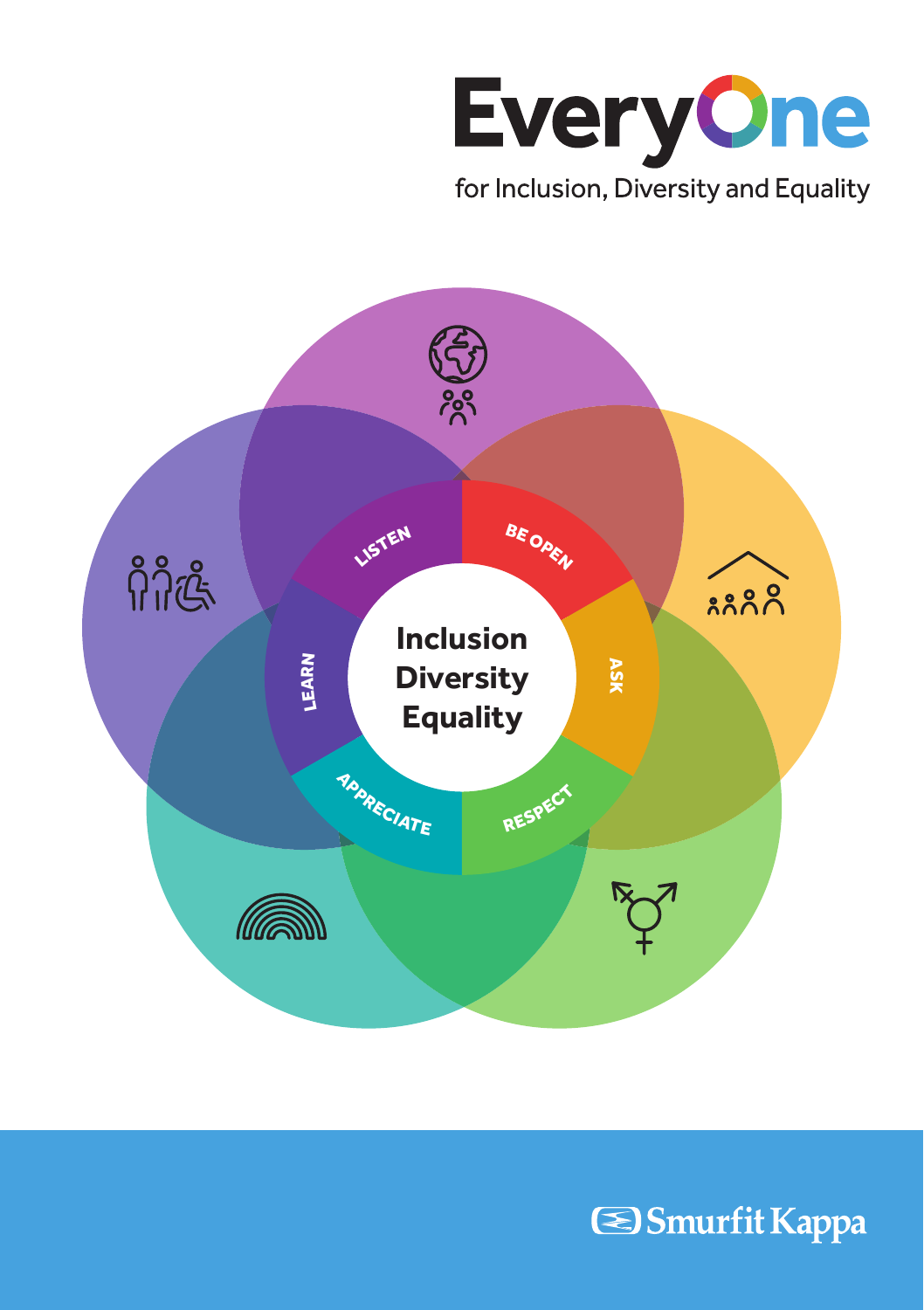



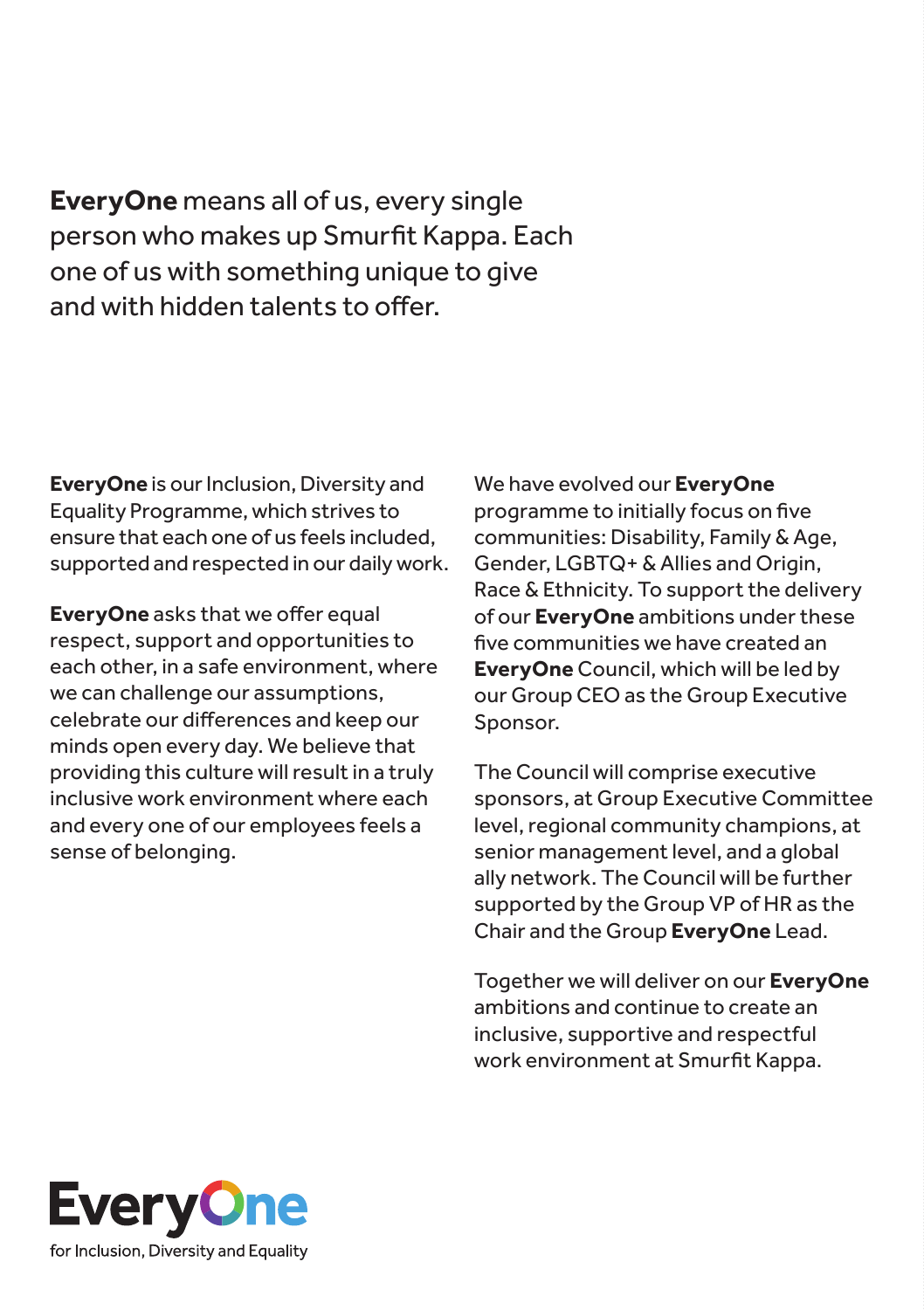**EveryOne** means all of us, every single person who makes up Smurfit Kappa. Each one of us with something unique to give and with hidden talents to offer.

**EveryOne** is our Inclusion, Diversity and Equality Programme, which strives to ensure that each one of us feels included, supported and respected in our daily work.

**EveryOne** asks that we offer equal respect, support and opportunities to each other, in a safe environment, where we can challenge our assumptions, celebrate our differences and keep our minds open every day. We believe that providing this culture will result in a truly inclusive work environment where each and every one of our employees feels a sense of belonging.

We have evolved our **EveryOne** programme to initially focus on five communities: Disability, Family & Age, Gender, LGBTQ+ & Allies and Origin, Race & Ethnicity. To support the delivery of our **EveryOne** ambitions under these five communities we have created an **EveryOne** Council, which will be led by our Group CEO as the Group Executive Sponsor.

The Council will comprise executive sponsors, at Group Executive Committee level, regional community champions, at senior management level, and a global ally network. The Council will be further supported by the Group VP of HR as the Chair and the Group **EveryOne** Lead.

Together we will deliver on our **EveryOne** ambitions and continue to create an inclusive, supportive and respectful work environment at Smurfit Kappa.

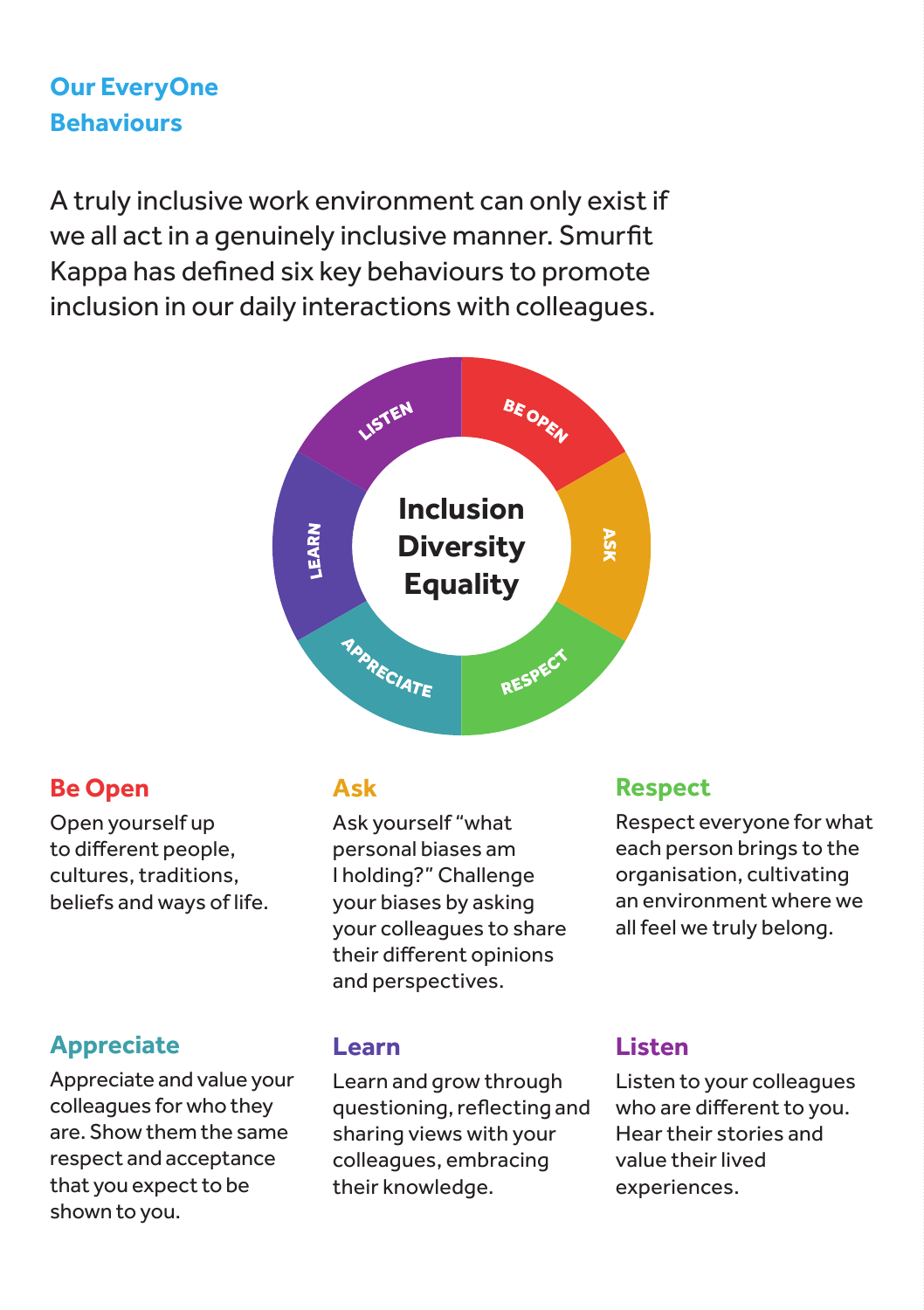# **Our EveryOne Behaviours**

A truly inclusive work environment can only exist if we all act in a genuinely inclusive manner. Smurfit Kappa has defined six key behaviours to promote inclusion in our daily interactions with colleagues.



## **Be Open**

Open yourself up to different people, cultures, traditions, beliefs and ways of life.

## **Appreciate**

Appreciate and value your colleagues for who they are. Show them the same respect and acceptance that you expect to be shown to you.

## **Ask**

Ask yourself "what personal biases am I holding?" Challenge your biases by asking your colleagues to share their different opinions and perspectives.

## **Learn**

Learn and grow through questioning, reflecting and sharing views with your colleagues, embracing their knowledge.

## **Respect**

Respect everyone for what each person brings to the organisation, cultivating an environment where we all feel we truly belong.

## **Listen**

Listen to your colleagues who are different to you. Hear their stories and value their lived experiences.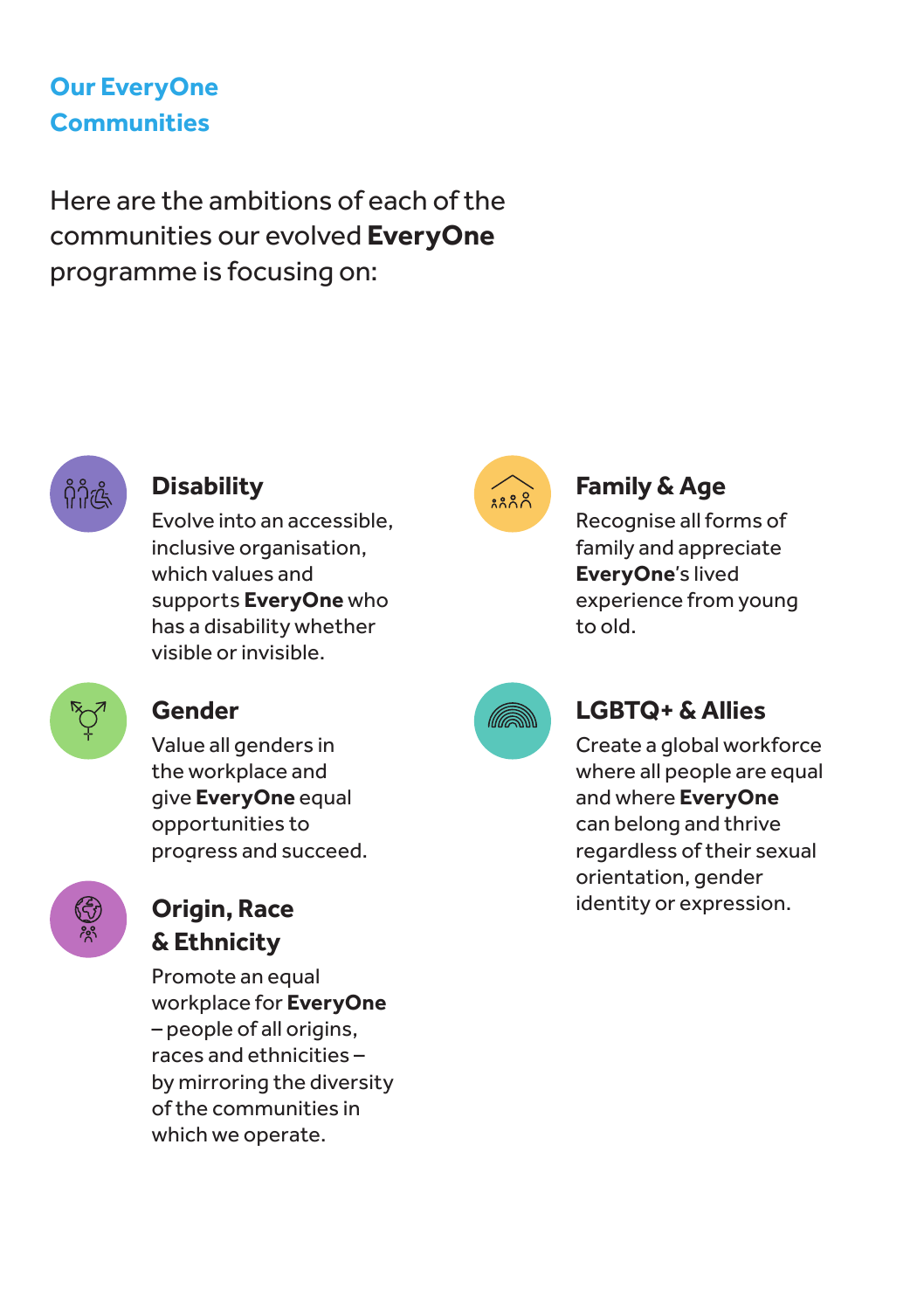# **Our EveryOne Communities**

Here are the ambitions of each of the communities our evolved **EveryOne**  programme is focusing on:



## **Disability**

Evolve into an accessible, inclusive organisation, which values and supports **EveryOne** who has a disability whether visible or invisible.



# **Family & Age**

Recognise all forms of family and appreciate **EveryOne**'s lived experience from young to old.



## **Gender**

Value all genders in the workplace and give **EveryOne** equal opportunities to progress and succeed.



# **& Ethnicity**

Promote an equal workplace for **EveryOne** – people of all origins, races and ethnicities – by mirroring the diversity of the communities in which we operate.



# **LGBTQ+ & Allies**

Create a global workforce where all people are equal and where **EveryOne** can belong and thrive regardless of their sexual orientation, gender **Origin, Race** identity or expression.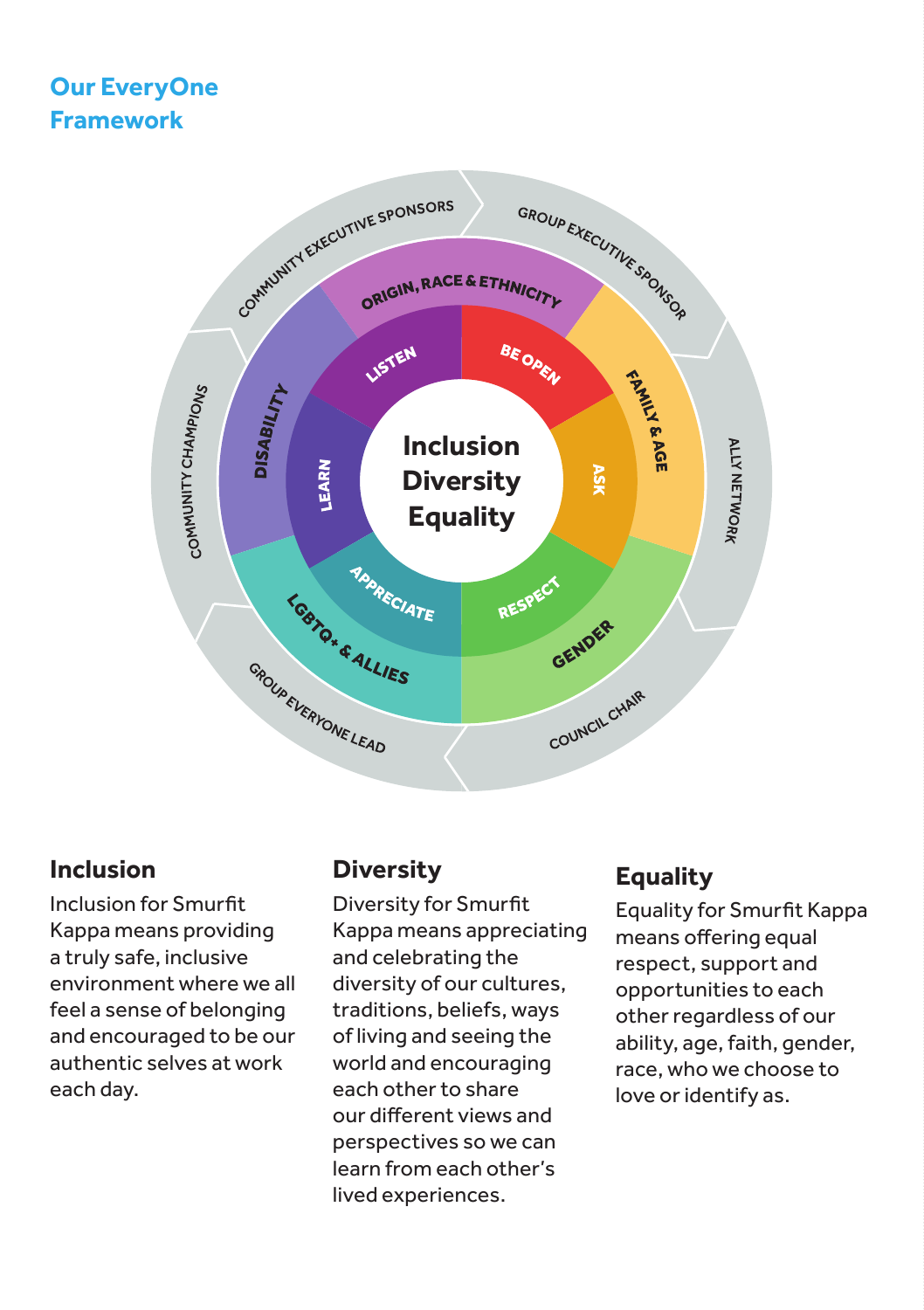## **Our EveryOne Framework**



#### **Inclusion**

Inclusion for Smurfit Kappa means providing a truly safe, inclusive environment where we all feel a sense of belonging and encouraged to be our authentic selves at work each day.

#### **Diversity**

Diversity for Smurfit Kappa means appreciating and celebrating the diversity of our cultures, traditions, beliefs, ways of living and seeing the world and encouraging each other to share our different views and perspectives so we can learn from each other's lived experiences.

## **Equality**

Equality for Smurfit Kappa means offering equal respect, support and opportunities to each other regardless of our ability, age, faith, gender, race, who we choose to love or identify as.